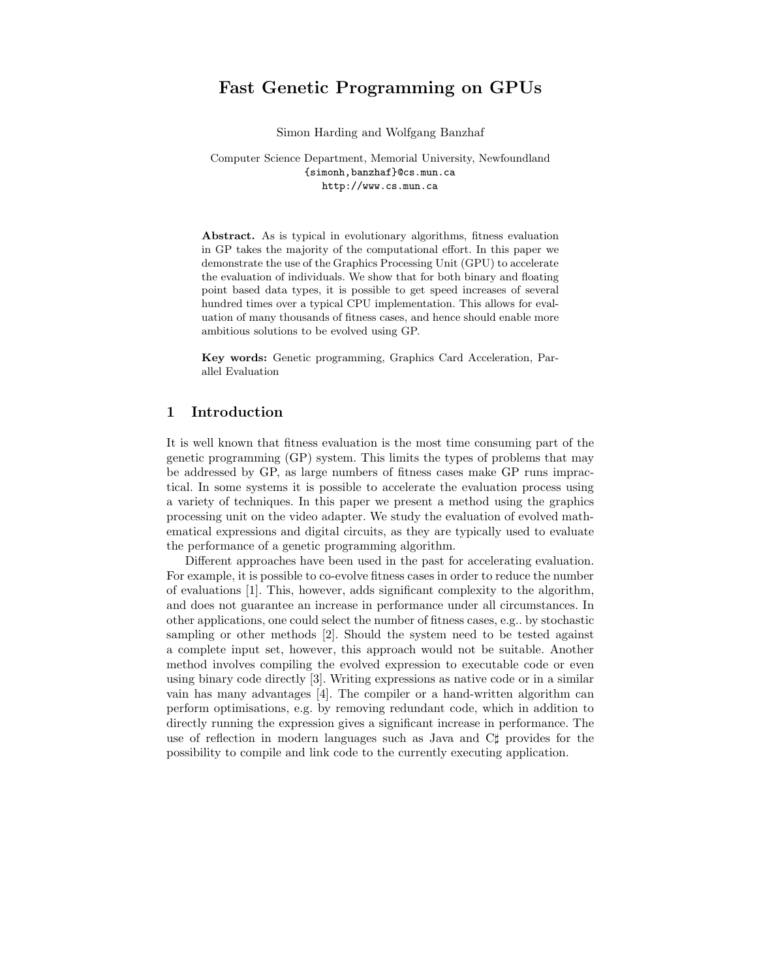# Fast Genetic Programming on GPUs

Simon Harding and Wolfgang Banzhaf

Computer Science Department, Memorial University, Newfoundland {simonh,banzhaf}@cs.mun.ca http://www.cs.mun.ca

Abstract. As is typical in evolutionary algorithms, fitness evaluation in GP takes the majority of the computational effort. In this paper we demonstrate the use of the Graphics Processing Unit (GPU) to accelerate the evaluation of individuals. We show that for both binary and floating point based data types, it is possible to get speed increases of several hundred times over a typical CPU implementation. This allows for evaluation of many thousands of fitness cases, and hence should enable more ambitious solutions to be evolved using GP.

Key words: Genetic programming, Graphics Card Acceleration, Parallel Evaluation

### 1 Introduction

It is well known that fitness evaluation is the most time consuming part of the genetic programming (GP) system. This limits the types of problems that may be addressed by GP, as large numbers of fitness cases make GP runs impractical. In some systems it is possible to accelerate the evaluation process using a variety of techniques. In this paper we present a method using the graphics processing unit on the video adapter. We study the evaluation of evolved mathematical expressions and digital circuits, as they are typically used to evaluate the performance of a genetic programming algorithm.

Different approaches have been used in the past for accelerating evaluation. For example, it is possible to co-evolve fitness cases in order to reduce the number of evaluations [1]. This, however, adds significant complexity to the algorithm, and does not guarantee an increase in performance under all circumstances. In other applications, one could select the number of fitness cases, e.g.. by stochastic sampling or other methods [2]. Should the system need to be tested against a complete input set, however, this approach would not be suitable. Another method involves compiling the evolved expression to executable code or even using binary code directly [3]. Writing expressions as native code or in a similar vain has many advantages [4]. The compiler or a hand-written algorithm can perform optimisations, e.g. by removing redundant code, which in addition to directly running the expression gives a significant increase in performance. The use of reflection in modern languages such as Java and C<sup> $\uparrow$ </sup> provides for the possibility to compile and link code to the currently executing application.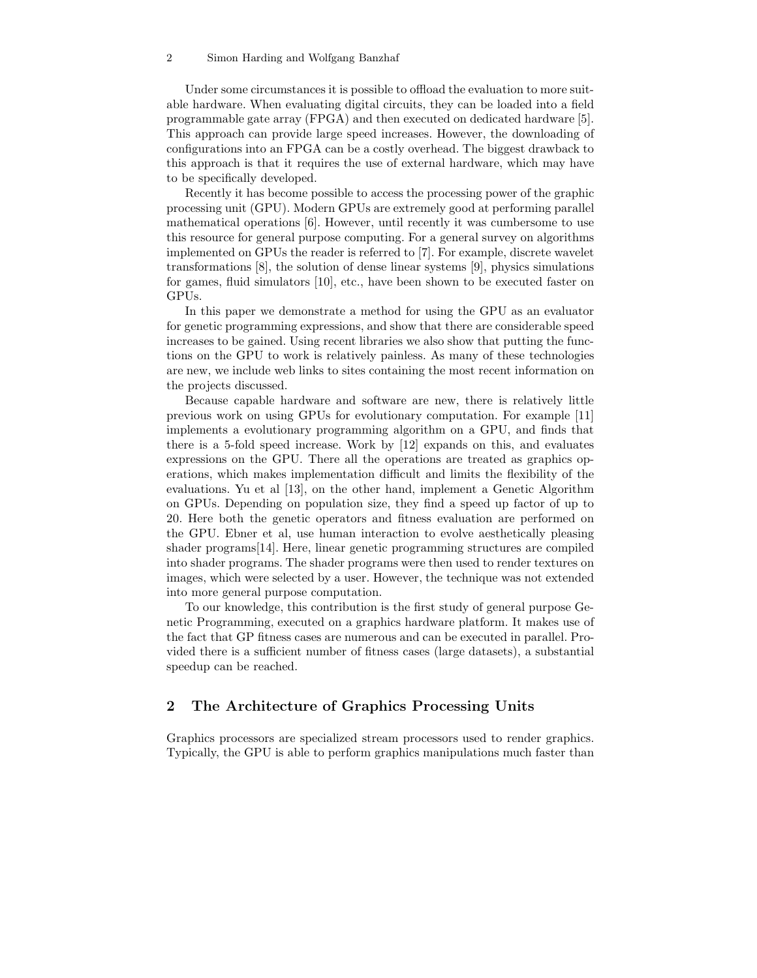#### 2 Simon Harding and Wolfgang Banzhaf

Under some circumstances it is possible to offload the evaluation to more suitable hardware. When evaluating digital circuits, they can be loaded into a field programmable gate array (FPGA) and then executed on dedicated hardware [5]. This approach can provide large speed increases. However, the downloading of configurations into an FPGA can be a costly overhead. The biggest drawback to this approach is that it requires the use of external hardware, which may have to be specifically developed.

Recently it has become possible to access the processing power of the graphic processing unit (GPU). Modern GPUs are extremely good at performing parallel mathematical operations [6]. However, until recently it was cumbersome to use this resource for general purpose computing. For a general survey on algorithms implemented on GPUs the reader is referred to [7]. For example, discrete wavelet transformations [8], the solution of dense linear systems [9], physics simulations for games, fluid simulators [10], etc., have been shown to be executed faster on GPUs.

In this paper we demonstrate a method for using the GPU as an evaluator for genetic programming expressions, and show that there are considerable speed increases to be gained. Using recent libraries we also show that putting the functions on the GPU to work is relatively painless. As many of these technologies are new, we include web links to sites containing the most recent information on the projects discussed.

Because capable hardware and software are new, there is relatively little previous work on using GPUs for evolutionary computation. For example [11] implements a evolutionary programming algorithm on a GPU, and finds that there is a 5-fold speed increase. Work by [12] expands on this, and evaluates expressions on the GPU. There all the operations are treated as graphics operations, which makes implementation difficult and limits the flexibility of the evaluations. Yu et al [13], on the other hand, implement a Genetic Algorithm on GPUs. Depending on population size, they find a speed up factor of up to 20. Here both the genetic operators and fitness evaluation are performed on the GPU. Ebner et al, use human interaction to evolve aesthetically pleasing shader programs[14]. Here, linear genetic programming structures are compiled into shader programs. The shader programs were then used to render textures on images, which were selected by a user. However, the technique was not extended into more general purpose computation.

To our knowledge, this contribution is the first study of general purpose Genetic Programming, executed on a graphics hardware platform. It makes use of the fact that GP fitness cases are numerous and can be executed in parallel. Provided there is a sufficient number of fitness cases (large datasets), a substantial speedup can be reached.

# 2 The Architecture of Graphics Processing Units

Graphics processors are specialized stream processors used to render graphics. Typically, the GPU is able to perform graphics manipulations much faster than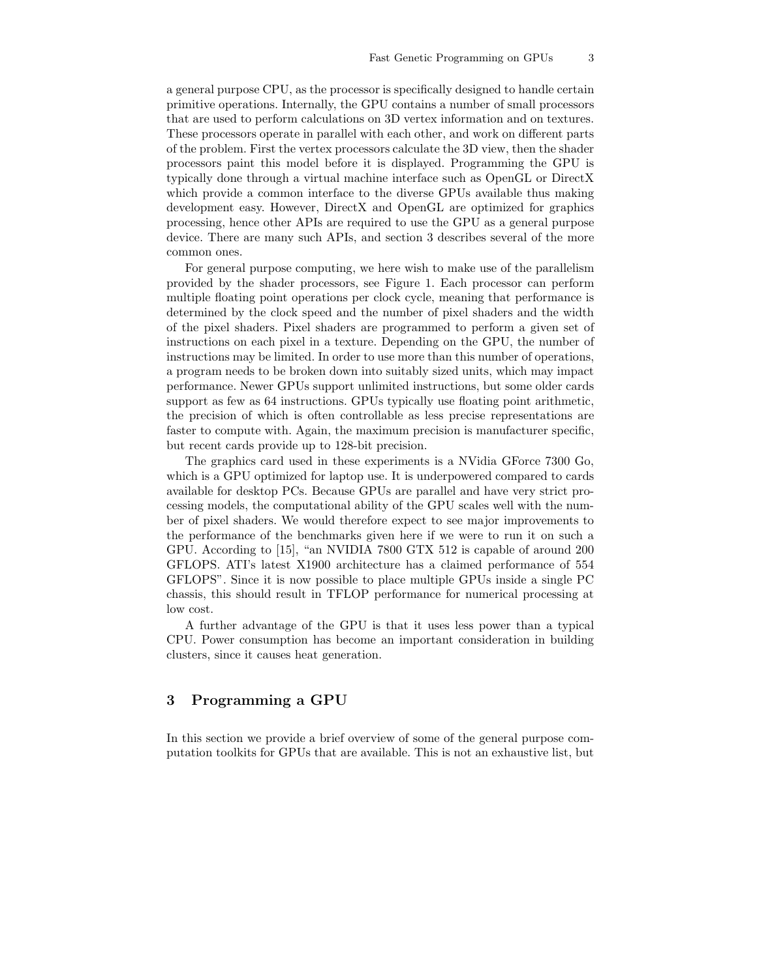a general purpose CPU, as the processor is specifically designed to handle certain primitive operations. Internally, the GPU contains a number of small processors that are used to perform calculations on 3D vertex information and on textures. These processors operate in parallel with each other, and work on different parts of the problem. First the vertex processors calculate the 3D view, then the shader processors paint this model before it is displayed. Programming the GPU is typically done through a virtual machine interface such as OpenGL or DirectX which provide a common interface to the diverse GPUs available thus making development easy. However, DirectX and OpenGL are optimized for graphics processing, hence other APIs are required to use the GPU as a general purpose device. There are many such APIs, and section 3 describes several of the more common ones.

For general purpose computing, we here wish to make use of the parallelism provided by the shader processors, see Figure 1. Each processor can perform multiple floating point operations per clock cycle, meaning that performance is determined by the clock speed and the number of pixel shaders and the width of the pixel shaders. Pixel shaders are programmed to perform a given set of instructions on each pixel in a texture. Depending on the GPU, the number of instructions may be limited. In order to use more than this number of operations, a program needs to be broken down into suitably sized units, which may impact performance. Newer GPUs support unlimited instructions, but some older cards support as few as 64 instructions. GPUs typically use floating point arithmetic, the precision of which is often controllable as less precise representations are faster to compute with. Again, the maximum precision is manufacturer specific, but recent cards provide up to 128-bit precision.

The graphics card used in these experiments is a NVidia GForce 7300 Go, which is a GPU optimized for laptop use. It is underpowered compared to cards available for desktop PCs. Because GPUs are parallel and have very strict processing models, the computational ability of the GPU scales well with the number of pixel shaders. We would therefore expect to see major improvements to the performance of the benchmarks given here if we were to run it on such a GPU. According to [15], "an NVIDIA 7800 GTX 512 is capable of around 200 GFLOPS. ATI's latest X1900 architecture has a claimed performance of 554 GFLOPS". Since it is now possible to place multiple GPUs inside a single PC chassis, this should result in TFLOP performance for numerical processing at low cost.

A further advantage of the GPU is that it uses less power than a typical CPU. Power consumption has become an important consideration in building clusters, since it causes heat generation.

## 3 Programming a GPU

In this section we provide a brief overview of some of the general purpose computation toolkits for GPUs that are available. This is not an exhaustive list, but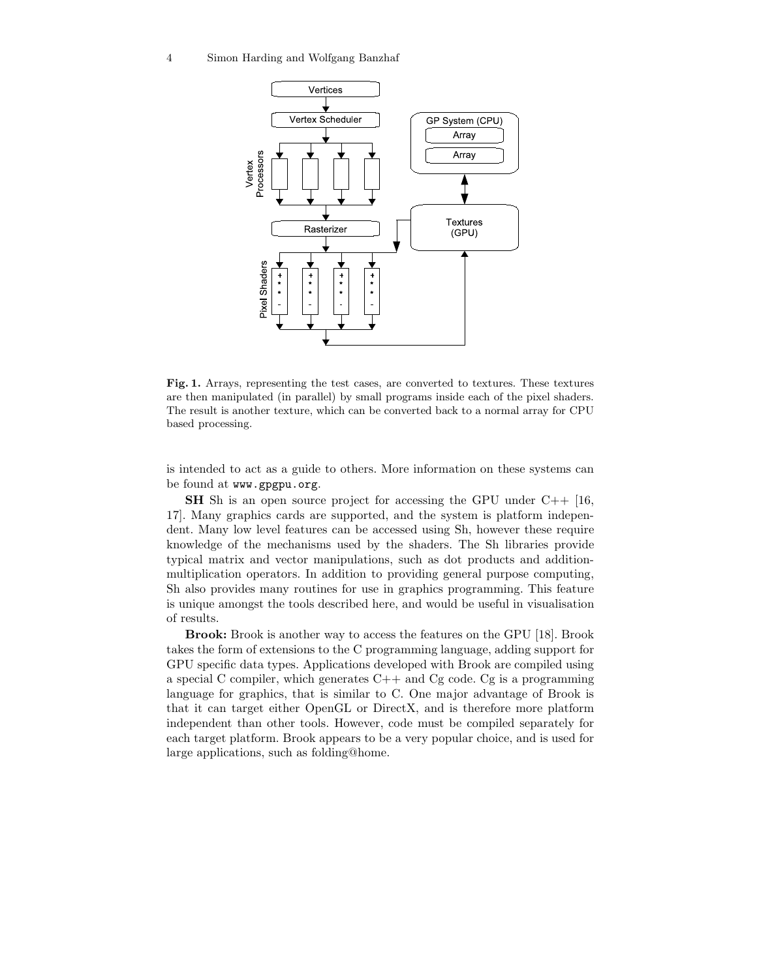

Fig. 1. Arrays, representing the test cases, are converted to textures. These textures are then manipulated (in parallel) by small programs inside each of the pixel shaders. The result is another texture, which can be converted back to a normal array for CPU based processing.

is intended to act as a guide to others. More information on these systems can be found at www.gpgpu.org.

**SH** Sh is an open source project for accessing the GPU under  $C_{++}$  [16, 17]. Many graphics cards are supported, and the system is platform independent. Many low level features can be accessed using Sh, however these require knowledge of the mechanisms used by the shaders. The Sh libraries provide typical matrix and vector manipulations, such as dot products and additionmultiplication operators. In addition to providing general purpose computing, Sh also provides many routines for use in graphics programming. This feature is unique amongst the tools described here, and would be useful in visualisation of results.

Brook: Brook is another way to access the features on the GPU [18]. Brook takes the form of extensions to the C programming language, adding support for GPU specific data types. Applications developed with Brook are compiled using a special C compiler, which generates  $C++$  and  $Cg$  code.  $Cg$  is a programming language for graphics, that is similar to C. One major advantage of Brook is that it can target either OpenGL or DirectX, and is therefore more platform independent than other tools. However, code must be compiled separately for each target platform. Brook appears to be a very popular choice, and is used for large applications, such as folding@home.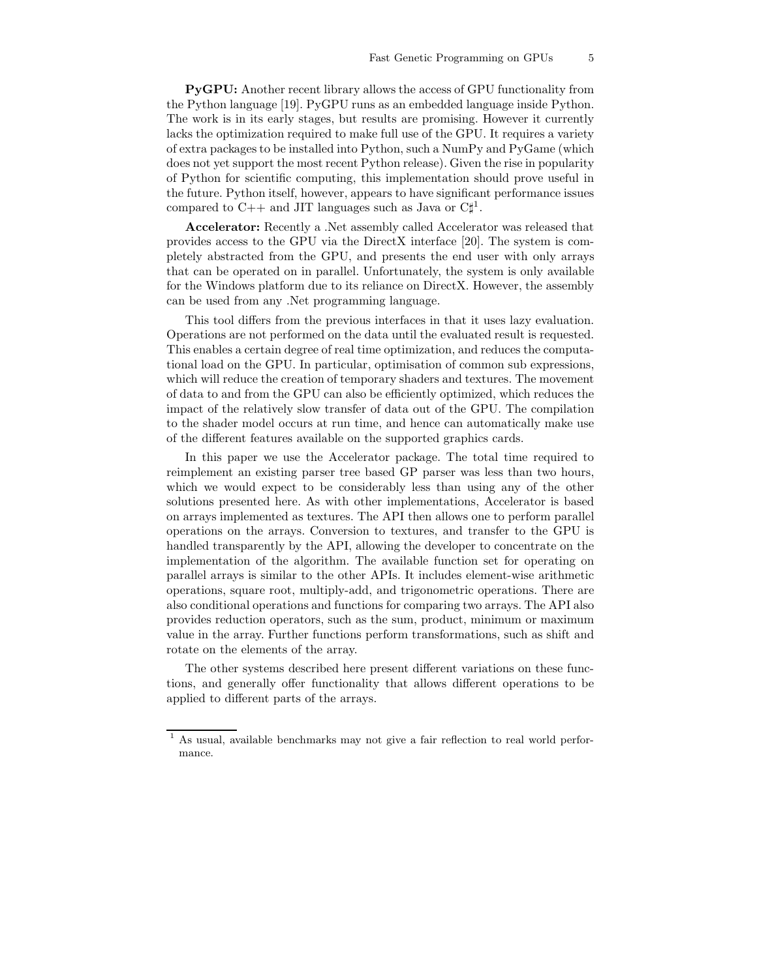PyGPU: Another recent library allows the access of GPU functionality from the Python language [19]. PyGPU runs as an embedded language inside Python. The work is in its early stages, but results are promising. However it currently lacks the optimization required to make full use of the GPU. It requires a variety of extra packages to be installed into Python, such a NumPy and PyGame (which does not yet support the most recent Python release). Given the rise in popularity of Python for scientific computing, this implementation should prove useful in the future. Python itself, however, appears to have significant performance issues compared to C++ and JIT languages such as Java or  $C_{\mu}^{\dagger}$ .

Accelerator: Recently a .Net assembly called Accelerator was released that provides access to the GPU via the DirectX interface [20]. The system is completely abstracted from the GPU, and presents the end user with only arrays that can be operated on in parallel. Unfortunately, the system is only available for the Windows platform due to its reliance on DirectX. However, the assembly can be used from any .Net programming language.

This tool differs from the previous interfaces in that it uses lazy evaluation. Operations are not performed on the data until the evaluated result is requested. This enables a certain degree of real time optimization, and reduces the computational load on the GPU. In particular, optimisation of common sub expressions, which will reduce the creation of temporary shaders and textures. The movement of data to and from the GPU can also be efficiently optimized, which reduces the impact of the relatively slow transfer of data out of the GPU. The compilation to the shader model occurs at run time, and hence can automatically make use of the different features available on the supported graphics cards.

In this paper we use the Accelerator package. The total time required to reimplement an existing parser tree based GP parser was less than two hours, which we would expect to be considerably less than using any of the other solutions presented here. As with other implementations, Accelerator is based on arrays implemented as textures. The API then allows one to perform parallel operations on the arrays. Conversion to textures, and transfer to the GPU is handled transparently by the API, allowing the developer to concentrate on the implementation of the algorithm. The available function set for operating on parallel arrays is similar to the other APIs. It includes element-wise arithmetic operations, square root, multiply-add, and trigonometric operations. There are also conditional operations and functions for comparing two arrays. The API also provides reduction operators, such as the sum, product, minimum or maximum value in the array. Further functions perform transformations, such as shift and rotate on the elements of the array.

The other systems described here present different variations on these functions, and generally offer functionality that allows different operations to be applied to different parts of the arrays.

<sup>1</sup> As usual, available benchmarks may not give a fair reflection to real world performance.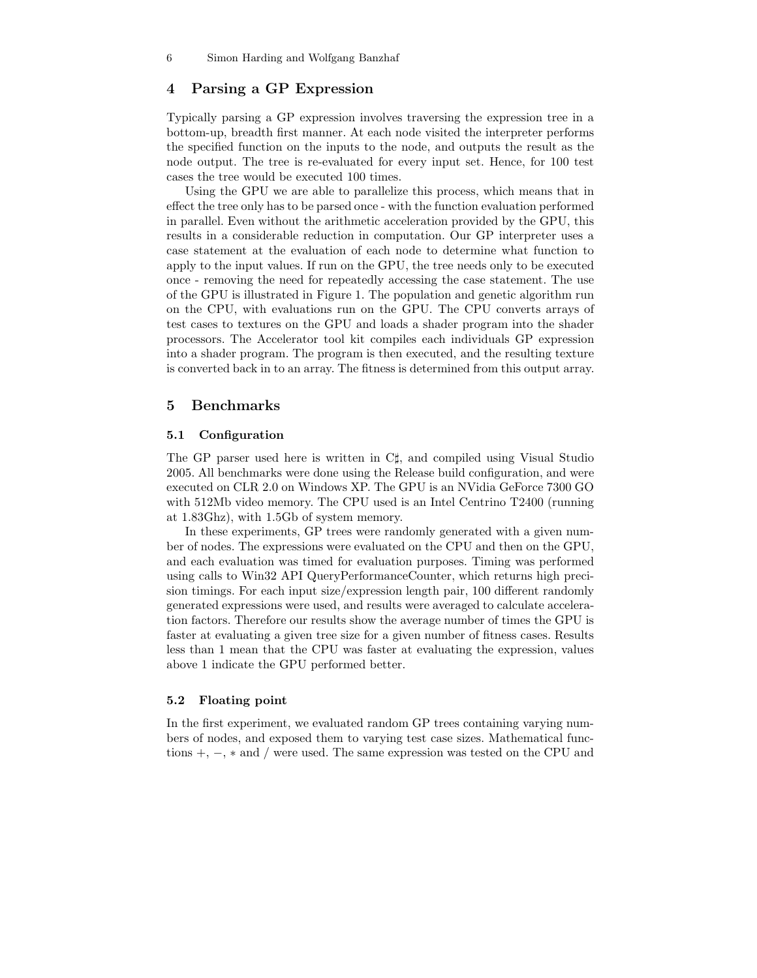# 4 Parsing a GP Expression

Typically parsing a GP expression involves traversing the expression tree in a bottom-up, breadth first manner. At each node visited the interpreter performs the specified function on the inputs to the node, and outputs the result as the node output. The tree is re-evaluated for every input set. Hence, for 100 test cases the tree would be executed 100 times.

Using the GPU we are able to parallelize this process, which means that in effect the tree only has to be parsed once - with the function evaluation performed in parallel. Even without the arithmetic acceleration provided by the GPU, this results in a considerable reduction in computation. Our GP interpreter uses a case statement at the evaluation of each node to determine what function to apply to the input values. If run on the GPU, the tree needs only to be executed once - removing the need for repeatedly accessing the case statement. The use of the GPU is illustrated in Figure 1. The population and genetic algorithm run on the CPU, with evaluations run on the GPU. The CPU converts arrays of test cases to textures on the GPU and loads a shader program into the shader processors. The Accelerator tool kit compiles each individuals GP expression into a shader program. The program is then executed, and the resulting texture is converted back in to an array. The fitness is determined from this output array.

### 5 Benchmarks

### 5.1 Configuration

The GP parser used here is written in  $C_{\mu}^{\mu}$ , and compiled using Visual Studio 2005. All benchmarks were done using the Release build configuration, and were executed on CLR 2.0 on Windows XP. The GPU is an NVidia GeForce 7300 GO with 512Mb video memory. The CPU used is an Intel Centrino T2400 (running at 1.83Ghz), with 1.5Gb of system memory.

In these experiments, GP trees were randomly generated with a given number of nodes. The expressions were evaluated on the CPU and then on the GPU, and each evaluation was timed for evaluation purposes. Timing was performed using calls to Win32 API QueryPerformanceCounter, which returns high precision timings. For each input size/expression length pair, 100 different randomly generated expressions were used, and results were averaged to calculate acceleration factors. Therefore our results show the average number of times the GPU is faster at evaluating a given tree size for a given number of fitness cases. Results less than 1 mean that the CPU was faster at evaluating the expression, values above 1 indicate the GPU performed better.

### 5.2 Floating point

In the first experiment, we evaluated random GP trees containing varying numbers of nodes, and exposed them to varying test case sizes. Mathematical functions +, −, ∗ and / were used. The same expression was tested on the CPU and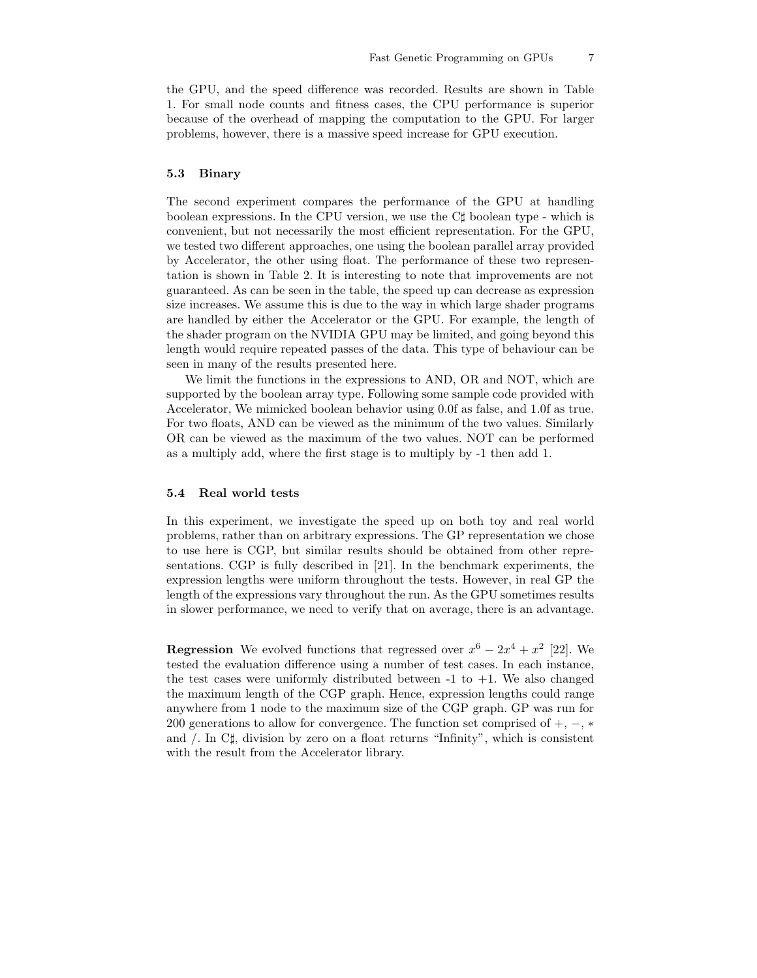the GPU, and the speed difference was recorded. Results are shown in Table 1. For small node counts and fitness cases, the CPU performance is superior because of the overhead of mapping the computation to the GPU. For larger problems, however, there is a massive speed increase for GPU execution.

#### 5.3 Binary

The second experiment compares the performance of the GPU at handling boolean expressions. In the CPU version, we use the C $\sharp$  boolean type - which is convenient, but not necessarily the most efficient representation. For the GPU, we tested two different approaches, one using the boolean parallel array provided by Accelerator, the other using float. The performance of these two representation is shown in Table 2. It is interesting to note that improvements are not guaranteed. As can be seen in the table, the speed up can decrease as expression size increases. We assume this is due to the way in which large shader programs are handled by either the Accelerator or the GPU. For example, the length of the shader program on the NVIDIA GPU may be limited, and going beyond this length would require repeated passes of the data. This type of behaviour can be seen in many of the results presented here.

We limit the functions in the expressions to AND, OR and NOT, which are supported by the boolean array type. Following some sample code provided with Accelerator, We mimicked boolean behavior using 0.0f as false, and 1.0f as true. For two floats, AND can be viewed as the minimum of the two values. Similarly OR can be viewed as the maximum of the two values. NOT can be performed as a multiply add, where the first stage is to multiply by -1 then add 1.

#### 5.4 Real world tests

In this experiment, we investigate the speed up on both toy and real world problems, rather than on arbitrary expressions. The GP representation we chose to use here is CGP, but similar results should be obtained from other representations. CGP is fully described in [21]. In the benchmark experiments, the expression lengths were uniform throughout the tests. However, in real GP the length of the expressions vary throughout the run. As the GPU sometimes results in slower performance, we need to verify that on average, there is an advantage.

**Regression** We evolved functions that regressed over  $x^6 - 2x^4 + x^2$  [22]. We tested the evaluation difference using a number of test cases. In each instance, the test cases were uniformly distributed between  $-1$  to  $+1$ . We also changed the maximum length of the CGP graph. Hence, expression lengths could range anywhere from 1 node to the maximum size of the CGP graph. GP was run for 200 generations to allow for convergence. The function set comprised of  $+,-,$ and  $\Lambda$ . In C<sub>I</sub>, division by zero on a float returns "Infinity", which is consistent with the result from the Accelerator library.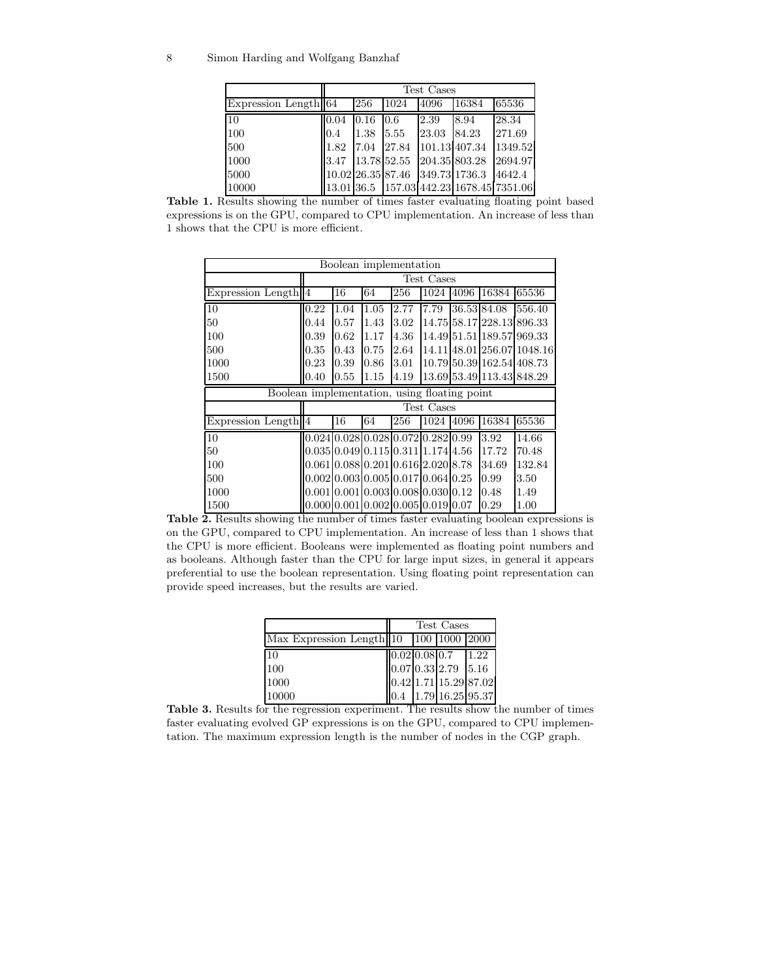8 Simon Harding and Wolfgang Banzhaf

|                      | Test Cases |      |                   |               |                                          |         |  |
|----------------------|------------|------|-------------------|---------------|------------------------------------------|---------|--|
| Expression Length 64 |            | 256  | 1024              | 4096          | 16384                                    | 65536   |  |
| 10                   | 0.04       | 0.16 | 0.6               | 2.39          | 8.94                                     | 28.34   |  |
| 100                  | 0.4        | 1.38 | 5.55              | 23.03         | 84.23                                    | 271.69  |  |
| 500                  | 1.82       | 7.04 | 27.84             | 101.13 407.34 |                                          | 1349.52 |  |
| 1000                 | 3.47       |      | 13.78 52.55       | 204.35 803.28 |                                          | 2694.97 |  |
| 5000                 |            |      | 10.02 26.35 87.46 |               | 349.73 1736.3                            | 4642.4  |  |
| 10000                |            |      |                   |               | 13.01 36.5 157.03 442.23 1678.45 7351.06 |         |  |

Table 1. Results showing the number of times faster evaluating floating point based expressions is on the GPU, compared to CPU implementation. An increase of less than 1 shows that the CPU is more efficient.

| Boolean implementation          |                                              |                                                     |      |          |            |      |                           |                            |
|---------------------------------|----------------------------------------------|-----------------------------------------------------|------|----------|------------|------|---------------------------|----------------------------|
|                                 | Test Cases                                   |                                                     |      |          |            |      |                           |                            |
| Expression Length <sup>14</sup> |                                              | 16                                                  | 64   | 256      | 1024       | 4096 | 16384                     | 65536                      |
| 10                              | 0.22                                         | 1.04                                                | 1.05 | 2.77     | 7.79       |      | 36.53 84.08               | 556.40                     |
| 50                              | 0.44                                         | 0.57                                                | 1.43 | 3.02     |            |      | 14.75 58.17 228.13 896.33 |                            |
| 100                             | 0.39                                         | 0.62                                                | 1.17 | 4.36     |            |      | 14.49 51.51 189.57 969.33 |                            |
| 500                             | $\rm 0.35$                                   | 0.43                                                | 0.75 | 2.64     |            |      |                           | 14.11 48.01 256.07 1048.16 |
| 1000                            | $0.23\,$                                     | 0.39                                                | 0.86 | $3.01\,$ |            |      | 10.79 50.39 162.54 408.73 |                            |
| 1500                            | $0.40\,$                                     | 0.55                                                | 1.15 | 4.19     |            |      | 13.69 53.49 113.43 848.29 |                            |
|                                 | Boolean implementation, using floating point |                                                     |      |          |            |      |                           |                            |
|                                 |                                              |                                                     |      |          |            |      |                           |                            |
|                                 |                                              |                                                     |      |          | Test Cases |      |                           |                            |
| Expression Length               | 4                                            | 16                                                  | 64   | 256      | 1024       | 4096 | 16384                     | 65536                      |
| 10                              |                                              | $0.024 \, 0.028 \, 0.028 \, 0.072 \, 0.282 \, 0.99$ |      |          |            |      | 3.92                      | 14.66                      |
| 50                              |                                              | 0.035 0.049 0.115 0.311 1.174 4.56                  |      |          |            |      | 17.72                     | 70.48                      |
| 100                             |                                              | 0.06110.08810.20110.61612.02018.78                  |      |          |            |      | 34.69                     | 132.84                     |
| 500                             |                                              | $0.002 \, 0.003 \, 0.005 \, 0.017 \, 0.064 \, 0.25$ |      |          |            |      | 0.99                      | 3.50                       |
| 1000                            |                                              | 0.00110.00110.00310.00810.03010.12                  |      |          |            |      | 0.48                      | 1.49                       |

Table 2. Results showing the number of times faster evaluating boolean expressions is on the GPU, compared to CPU implementation. An increase of less than 1 shows that the CPU is more efficient. Booleans were implemented as floating point numbers and as booleans. Although faster than the CPU for large input sizes, in general it appears preferential to use the boolean representation. Using floating point representation can provide speed increases, but the results are varied.

|                                              | Test Cases |  |                         |  |
|----------------------------------------------|------------|--|-------------------------|--|
| Max Expression Length 10   100   1000   2000 |            |  |                         |  |
| 10                                           |            |  |                         |  |
| 100                                          |            |  | 0.07 0.33 2.79 5.16     |  |
| 1000                                         |            |  | $0.42$ 1.71 15.29 87.02 |  |
| 10000                                        |            |  | $0.4$ 1.79 16.25 95.37  |  |

Table 3. Results for the regression experiment. The results show the number of times faster evaluating evolved GP expressions is on the GPU, compared to CPU implementation. The maximum expression length is the number of nodes in the CGP graph.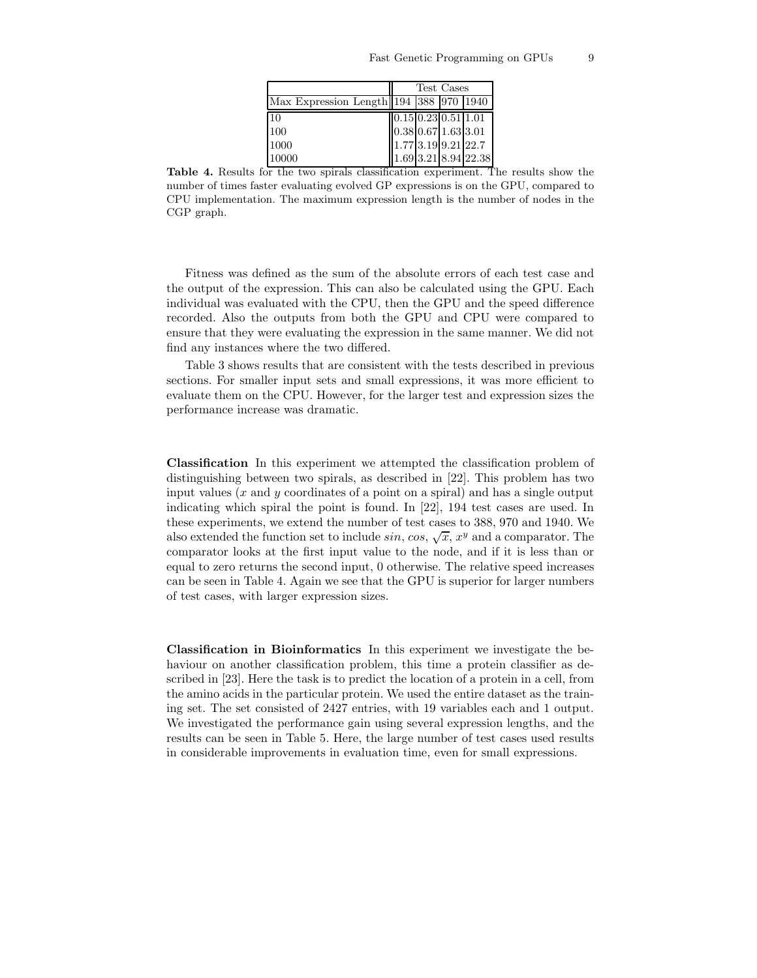|                                        | Test Cases                     |  |  |                      |
|----------------------------------------|--------------------------------|--|--|----------------------|
| Max Expression Length 194 388 970 1940 |                                |  |  |                      |
| 10                                     | $0.15 \, 0.23 \, 0.51 \, 1.01$ |  |  |                      |
| 100                                    | 0.38 0.67 1.63 3.01            |  |  |                      |
| 1000                                   | $1.77$ 3.19 9.21 22.7          |  |  |                      |
| 10000                                  |                                |  |  | 1.69 3.21 8.94 22.38 |

Table 4. Results for the two spirals classification experiment. The results show the number of times faster evaluating evolved GP expressions is on the GPU, compared to CPU implementation. The maximum expression length is the number of nodes in the CGP graph.

Fitness was defined as the sum of the absolute errors of each test case and the output of the expression. This can also be calculated using the GPU. Each individual was evaluated with the CPU, then the GPU and the speed difference recorded. Also the outputs from both the GPU and CPU were compared to ensure that they were evaluating the expression in the same manner. We did not find any instances where the two differed.

Table 3 shows results that are consistent with the tests described in previous sections. For smaller input sets and small expressions, it was more efficient to evaluate them on the CPU. However, for the larger test and expression sizes the performance increase was dramatic.

Classification In this experiment we attempted the classification problem of distinguishing between two spirals, as described in [22]. This problem has two input values  $(x \text{ and } y \text{ coordinates of a point on a spiral})$  and has a single output indicating which spiral the point is found. In [22], 194 test cases are used. In these experiments, we extend the number of test cases to 388, 970 and 1940. We also extended the function set to include  $sin, cos, \sqrt{x}, x^y$  and a comparator. The comparator looks at the first input value to the node, and if it is less than or equal to zero returns the second input, 0 otherwise. The relative speed increases can be seen in Table 4. Again we see that the GPU is superior for larger numbers of test cases, with larger expression sizes.

Classification in Bioinformatics In this experiment we investigate the behaviour on another classification problem, this time a protein classifier as described in [23]. Here the task is to predict the location of a protein in a cell, from the amino acids in the particular protein. We used the entire dataset as the training set. The set consisted of 2427 entries, with 19 variables each and 1 output. We investigated the performance gain using several expression lengths, and the results can be seen in Table 5. Here, the large number of test cases used results in considerable improvements in evaluation time, even for small expressions.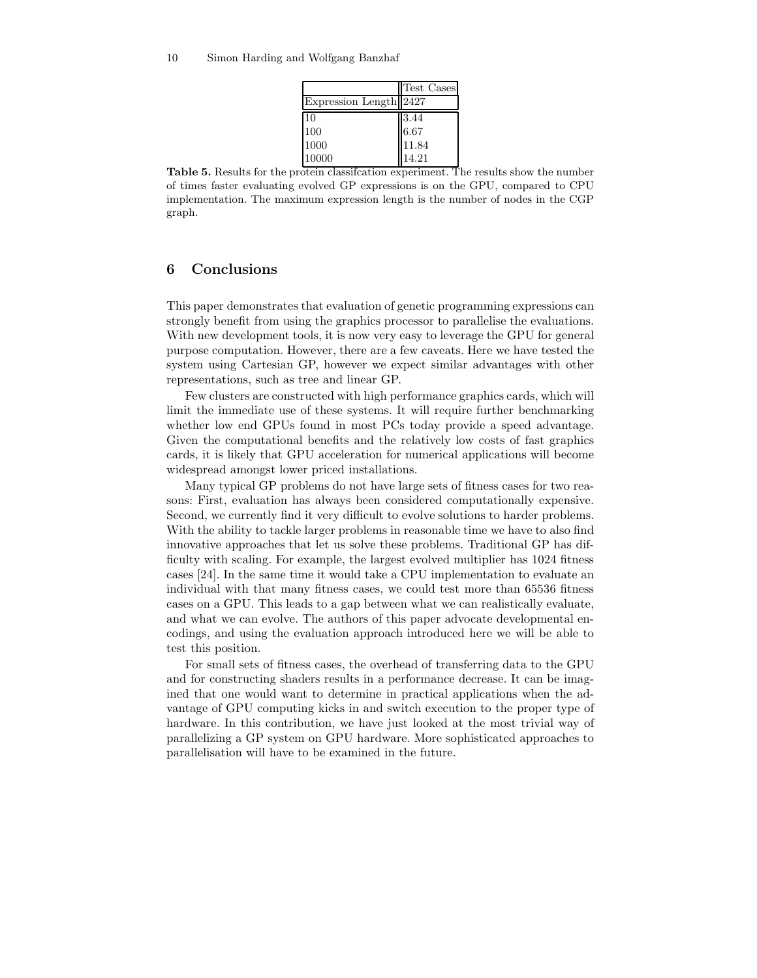|                        | <b>Test Cases</b> |
|------------------------|-------------------|
| Expression Length 2427 |                   |
| 10                     | 3.44              |
| 100                    | 6.67              |
| 1000                   | 11.84             |
| 10000                  | 14.21             |

Table 5. Results for the protein classifcation experiment. The results show the number of times faster evaluating evolved GP expressions is on the GPU, compared to CPU implementation. The maximum expression length is the number of nodes in the CGP graph.

## 6 Conclusions

This paper demonstrates that evaluation of genetic programming expressions can strongly benefit from using the graphics processor to parallelise the evaluations. With new development tools, it is now very easy to leverage the GPU for general purpose computation. However, there are a few caveats. Here we have tested the system using Cartesian GP, however we expect similar advantages with other representations, such as tree and linear GP.

Few clusters are constructed with high performance graphics cards, which will limit the immediate use of these systems. It will require further benchmarking whether low end GPUs found in most PCs today provide a speed advantage. Given the computational benefits and the relatively low costs of fast graphics cards, it is likely that GPU acceleration for numerical applications will become widespread amongst lower priced installations.

Many typical GP problems do not have large sets of fitness cases for two reasons: First, evaluation has always been considered computationally expensive. Second, we currently find it very difficult to evolve solutions to harder problems. With the ability to tackle larger problems in reasonable time we have to also find innovative approaches that let us solve these problems. Traditional GP has difficulty with scaling. For example, the largest evolved multiplier has 1024 fitness cases [24]. In the same time it would take a CPU implementation to evaluate an individual with that many fitness cases, we could test more than 65536 fitness cases on a GPU. This leads to a gap between what we can realistically evaluate, and what we can evolve. The authors of this paper advocate developmental encodings, and using the evaluation approach introduced here we will be able to test this position.

For small sets of fitness cases, the overhead of transferring data to the GPU and for constructing shaders results in a performance decrease. It can be imagined that one would want to determine in practical applications when the advantage of GPU computing kicks in and switch execution to the proper type of hardware. In this contribution, we have just looked at the most trivial way of parallelizing a GP system on GPU hardware. More sophisticated approaches to parallelisation will have to be examined in the future.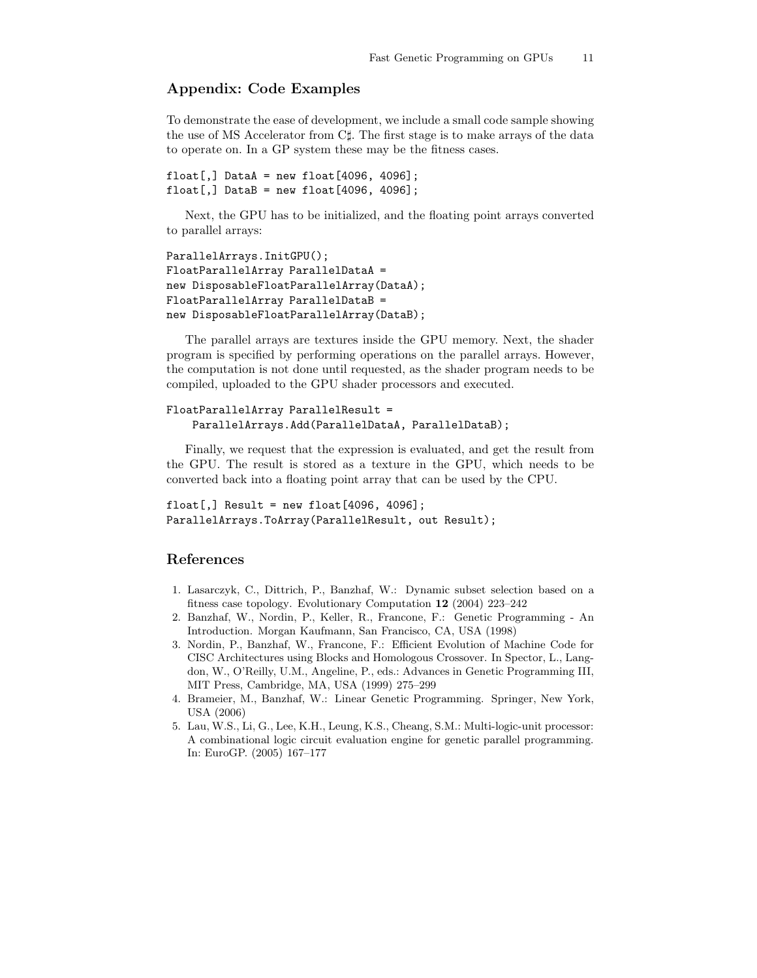### Appendix: Code Examples

To demonstrate the ease of development, we include a small code sample showing the use of MS Accelerator from C#. The first stage is to make arrays of the data to operate on. In a GP system these may be the fitness cases.

```
float[,] Data = new float[4096, 4096];float[,] DataB = new float[4096, 4096];
```
Next, the GPU has to be initialized, and the floating point arrays converted to parallel arrays:

```
ParallelArrays.InitGPU();
FloatParallelArray ParallelDataA =
new DisposableFloatParallelArray(DataA);
FloatParallelArray ParallelDataB =
new DisposableFloatParallelArray(DataB);
```
The parallel arrays are textures inside the GPU memory. Next, the shader program is specified by performing operations on the parallel arrays. However, the computation is not done until requested, as the shader program needs to be compiled, uploaded to the GPU shader processors and executed.

### FloatParallelArray ParallelResult = ParallelArrays.Add(ParallelDataA, ParallelDataB);

Finally, we request that the expression is evaluated, and get the result from the GPU. The result is stored as a texture in the GPU, which needs to be converted back into a floating point array that can be used by the CPU.

```
float[,] Result = new float[4096, 4096];
ParallelArrays.ToArray(ParallelResult, out Result);
```
### References

- 1. Lasarczyk, C., Dittrich, P., Banzhaf, W.: Dynamic subset selection based on a fitness case topology. Evolutionary Computation 12 (2004) 223–242
- 2. Banzhaf, W., Nordin, P., Keller, R., Francone, F.: Genetic Programming An Introduction. Morgan Kaufmann, San Francisco, CA, USA (1998)
- 3. Nordin, P., Banzhaf, W., Francone, F.: Efficient Evolution of Machine Code for CISC Architectures using Blocks and Homologous Crossover. In Spector, L., Langdon, W., O'Reilly, U.M., Angeline, P., eds.: Advances in Genetic Programming III, MIT Press, Cambridge, MA, USA (1999) 275–299
- 4. Brameier, M., Banzhaf, W.: Linear Genetic Programming. Springer, New York, USA (2006)
- 5. Lau, W.S., Li, G., Lee, K.H., Leung, K.S., Cheang, S.M.: Multi-logic-unit processor: A combinational logic circuit evaluation engine for genetic parallel programming. In: EuroGP. (2005) 167–177